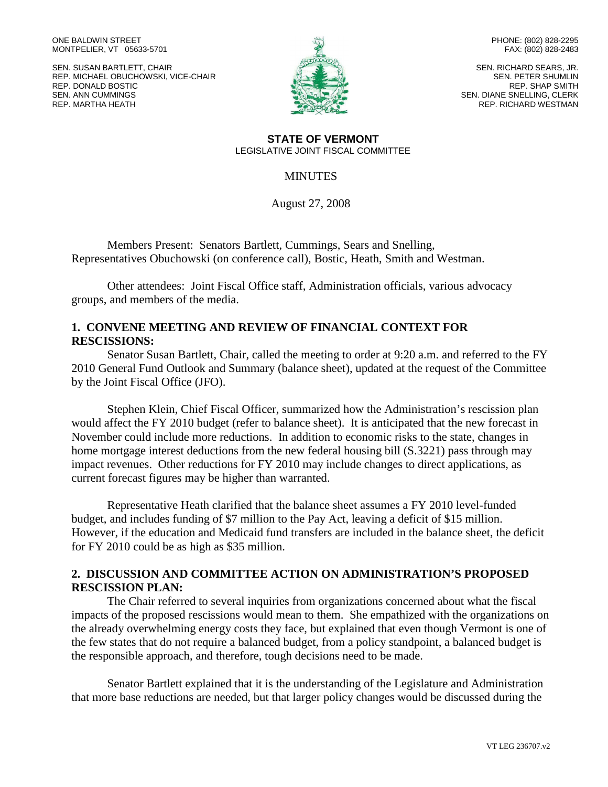ONE BALDWIN STREET MONTPELIER, VT 05633-5701

SEN. SUSAN BARTLETT, CHAIR REP. MICHAEL OBUCHOWSKI, VICE-CHAIR REP. DONALD BOSTIC SEN. ANN CUMMINGS REP. MARTHA HEATH



PHONE: (802) 828-2295 FAX: (802) 828-2483

SEN. RICHARD SEARS, JR. SEN. PETER SHUMLIN REP. SHAP SMITH SEN. DIANE SNELLING, CLERK REP. RICHARD WESTMAN

**STATE OF VERMONT** LEGISLATIVE JOINT FISCAL COMMITTEE

#### **MINUTES**

August 27, 2008

Members Present: Senators Bartlett, Cummings, Sears and Snelling, Representatives Obuchowski (on conference call), Bostic, Heath, Smith and Westman.

Other attendees: Joint Fiscal Office staff, Administration officials, various advocacy groups, and members of the media.

## **1. CONVENE MEETING AND REVIEW OF FINANCIAL CONTEXT FOR RESCISSIONS:**

Senator Susan Bartlett, Chair, called the meeting to order at 9:20 a.m. and referred to the FY 2010 General Fund Outlook and Summary (balance sheet), updated at the request of the Committee by the Joint Fiscal Office (JFO).

Stephen Klein, Chief Fiscal Officer, summarized how the Administration's rescission plan would affect the FY 2010 budget (refer to balance sheet). It is anticipated that the new forecast in November could include more reductions. In addition to economic risks to the state, changes in home mortgage interest deductions from the new federal housing bill (S.3221) pass through may impact revenues. Other reductions for FY 2010 may include changes to direct applications, as current forecast figures may be higher than warranted.

Representative Heath clarified that the balance sheet assumes a FY 2010 level-funded budget, and includes funding of \$7 million to the Pay Act, leaving a deficit of \$15 million. However, if the education and Medicaid fund transfers are included in the balance sheet, the deficit for FY 2010 could be as high as \$35 million.

## **2. DISCUSSION AND COMMITTEE ACTION ON ADMINISTRATION'S PROPOSED RESCISSION PLAN:**

The Chair referred to several inquiries from organizations concerned about what the fiscal impacts of the proposed rescissions would mean to them. She empathized with the organizations on the already overwhelming energy costs they face, but explained that even though Vermont is one of the few states that do not require a balanced budget, from a policy standpoint, a balanced budget is the responsible approach, and therefore, tough decisions need to be made.

Senator Bartlett explained that it is the understanding of the Legislature and Administration that more base reductions are needed, but that larger policy changes would be discussed during the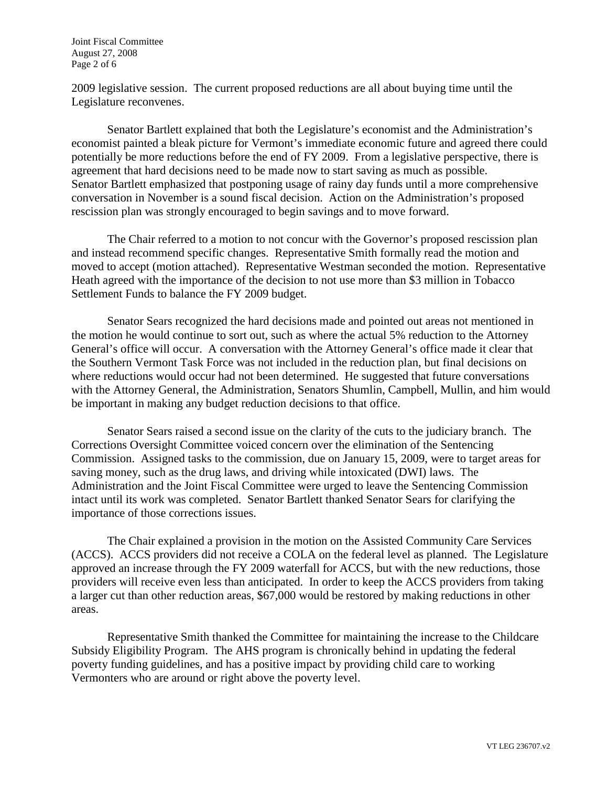Joint Fiscal Committee August 27, 2008 Page 2 of 6

2009 legislative session. The current proposed reductions are all about buying time until the Legislature reconvenes.

Senator Bartlett explained that both the Legislature's economist and the Administration's economist painted a bleak picture for Vermont's immediate economic future and agreed there could potentially be more reductions before the end of FY 2009. From a legislative perspective, there is agreement that hard decisions need to be made now to start saving as much as possible. Senator Bartlett emphasized that postponing usage of rainy day funds until a more comprehensive conversation in November is a sound fiscal decision. Action on the Administration's proposed rescission plan was strongly encouraged to begin savings and to move forward.

The Chair referred to a motion to not concur with the Governor's proposed rescission plan and instead recommend specific changes. Representative Smith formally read the motion and moved to accept (motion attached). Representative Westman seconded the motion. Representative Heath agreed with the importance of the decision to not use more than \$3 million in Tobacco Settlement Funds to balance the FY 2009 budget.

Senator Sears recognized the hard decisions made and pointed out areas not mentioned in the motion he would continue to sort out, such as where the actual 5% reduction to the Attorney General's office will occur. A conversation with the Attorney General's office made it clear that the Southern Vermont Task Force was not included in the reduction plan, but final decisions on where reductions would occur had not been determined. He suggested that future conversations with the Attorney General, the Administration, Senators Shumlin, Campbell, Mullin, and him would be important in making any budget reduction decisions to that office.

Senator Sears raised a second issue on the clarity of the cuts to the judiciary branch. The Corrections Oversight Committee voiced concern over the elimination of the Sentencing Commission. Assigned tasks to the commission, due on January 15, 2009, were to target areas for saving money, such as the drug laws, and driving while intoxicated (DWI) laws. The Administration and the Joint Fiscal Committee were urged to leave the Sentencing Commission intact until its work was completed. Senator Bartlett thanked Senator Sears for clarifying the importance of those corrections issues.

The Chair explained a provision in the motion on the Assisted Community Care Services (ACCS). ACCS providers did not receive a COLA on the federal level as planned. The Legislature approved an increase through the FY 2009 waterfall for ACCS, but with the new reductions, those providers will receive even less than anticipated. In order to keep the ACCS providers from taking a larger cut than other reduction areas, \$67,000 would be restored by making reductions in other areas.

Representative Smith thanked the Committee for maintaining the increase to the Childcare Subsidy Eligibility Program. The AHS program is chronically behind in updating the federal poverty funding guidelines, and has a positive impact by providing child care to working Vermonters who are around or right above the poverty level.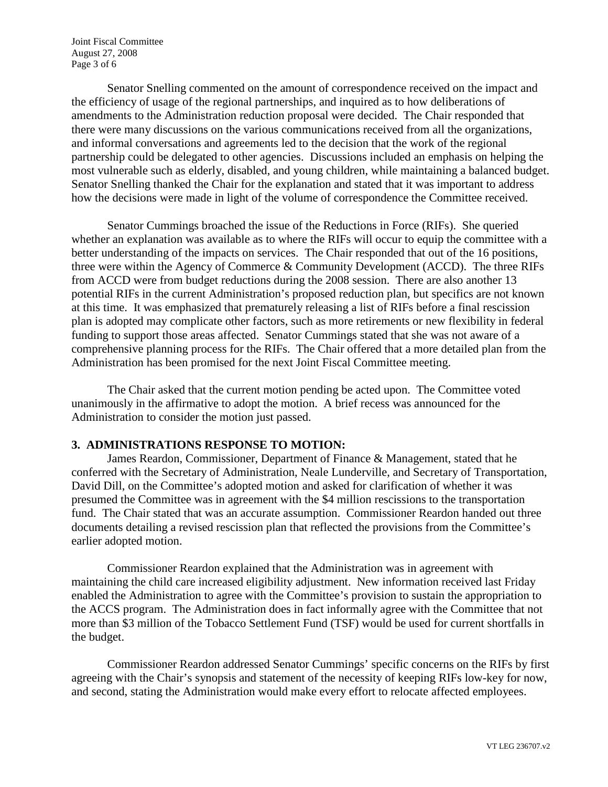Joint Fiscal Committee August 27, 2008 Page 3 of 6

Senator Snelling commented on the amount of correspondence received on the impact and the efficiency of usage of the regional partnerships, and inquired as to how deliberations of amendments to the Administration reduction proposal were decided. The Chair responded that there were many discussions on the various communications received from all the organizations, and informal conversations and agreements led to the decision that the work of the regional partnership could be delegated to other agencies. Discussions included an emphasis on helping the most vulnerable such as elderly, disabled, and young children, while maintaining a balanced budget. Senator Snelling thanked the Chair for the explanation and stated that it was important to address how the decisions were made in light of the volume of correspondence the Committee received.

Senator Cummings broached the issue of the Reductions in Force (RIFs). She queried whether an explanation was available as to where the RIFs will occur to equip the committee with a better understanding of the impacts on services. The Chair responded that out of the 16 positions, three were within the Agency of Commerce & Community Development (ACCD). The three RIFs from ACCD were from budget reductions during the 2008 session. There are also another 13 potential RIFs in the current Administration's proposed reduction plan, but specifics are not known at this time. It was emphasized that prematurely releasing a list of RIFs before a final rescission plan is adopted may complicate other factors, such as more retirements or new flexibility in federal funding to support those areas affected. Senator Cummings stated that she was not aware of a comprehensive planning process for the RIFs. The Chair offered that a more detailed plan from the Administration has been promised for the next Joint Fiscal Committee meeting.

The Chair asked that the current motion pending be acted upon. The Committee voted unanimously in the affirmative to adopt the motion. A brief recess was announced for the Administration to consider the motion just passed.

### **3. ADMINISTRATIONS RESPONSE TO MOTION:**

James Reardon, Commissioner, Department of Finance & Management, stated that he conferred with the Secretary of Administration, Neale Lunderville, and Secretary of Transportation, David Dill, on the Committee's adopted motion and asked for clarification of whether it was presumed the Committee was in agreement with the \$4 million rescissions to the transportation fund. The Chair stated that was an accurate assumption. Commissioner Reardon handed out three documents detailing a revised rescission plan that reflected the provisions from the Committee's earlier adopted motion.

Commissioner Reardon explained that the Administration was in agreement with maintaining the child care increased eligibility adjustment. New information received last Friday enabled the Administration to agree with the Committee's provision to sustain the appropriation to the ACCS program. The Administration does in fact informally agree with the Committee that not more than \$3 million of the Tobacco Settlement Fund (TSF) would be used for current shortfalls in the budget.

Commissioner Reardon addressed Senator Cummings' specific concerns on the RIFs by first agreeing with the Chair's synopsis and statement of the necessity of keeping RIFs low-key for now, and second, stating the Administration would make every effort to relocate affected employees.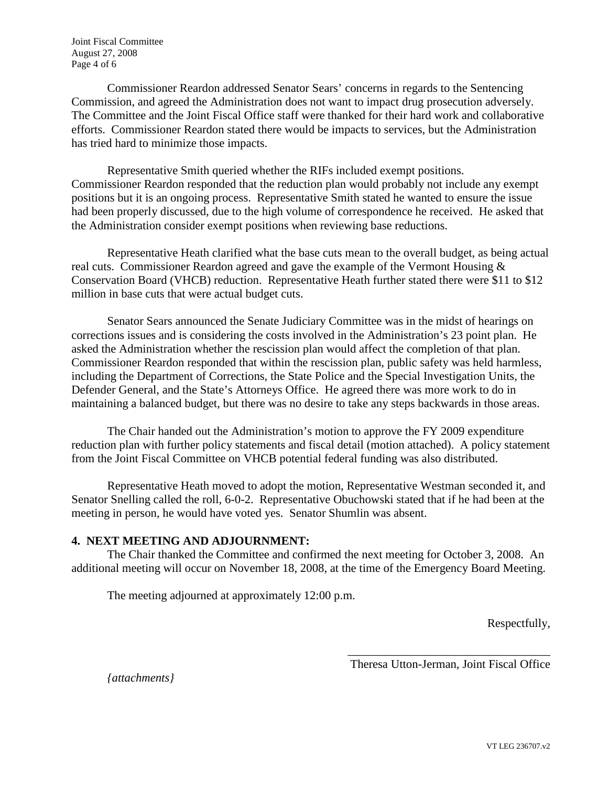Joint Fiscal Committee August 27, 2008 Page 4 of 6

Commissioner Reardon addressed Senator Sears' concerns in regards to the Sentencing Commission, and agreed the Administration does not want to impact drug prosecution adversely. The Committee and the Joint Fiscal Office staff were thanked for their hard work and collaborative efforts. Commissioner Reardon stated there would be impacts to services, but the Administration has tried hard to minimize those impacts.

Representative Smith queried whether the RIFs included exempt positions. Commissioner Reardon responded that the reduction plan would probably not include any exempt positions but it is an ongoing process. Representative Smith stated he wanted to ensure the issue had been properly discussed, due to the high volume of correspondence he received. He asked that the Administration consider exempt positions when reviewing base reductions.

Representative Heath clarified what the base cuts mean to the overall budget, as being actual real cuts. Commissioner Reardon agreed and gave the example of the Vermont Housing & Conservation Board (VHCB) reduction. Representative Heath further stated there were \$11 to \$12 million in base cuts that were actual budget cuts.

Senator Sears announced the Senate Judiciary Committee was in the midst of hearings on corrections issues and is considering the costs involved in the Administration's 23 point plan. He asked the Administration whether the rescission plan would affect the completion of that plan. Commissioner Reardon responded that within the rescission plan, public safety was held harmless, including the Department of Corrections, the State Police and the Special Investigation Units, the Defender General, and the State's Attorneys Office. He agreed there was more work to do in maintaining a balanced budget, but there was no desire to take any steps backwards in those areas.

The Chair handed out the Administration's motion to approve the FY 2009 expenditure reduction plan with further policy statements and fiscal detail (motion attached). A policy statement from the Joint Fiscal Committee on VHCB potential federal funding was also distributed.

Representative Heath moved to adopt the motion, Representative Westman seconded it, and Senator Snelling called the roll, 6-0-2. Representative Obuchowski stated that if he had been at the meeting in person, he would have voted yes. Senator Shumlin was absent.

# **4. NEXT MEETING AND ADJOURNMENT:**

The Chair thanked the Committee and confirmed the next meeting for October 3, 2008. An additional meeting will occur on November 18, 2008, at the time of the Emergency Board Meeting.

The meeting adjourned at approximately 12:00 p.m.

Respectfully,

\_\_\_\_\_\_\_\_\_\_\_\_\_\_\_\_\_\_\_\_\_\_\_\_\_\_\_\_\_\_\_\_\_\_ Theresa Utton-Jerman, Joint Fiscal Office

*{attachments}*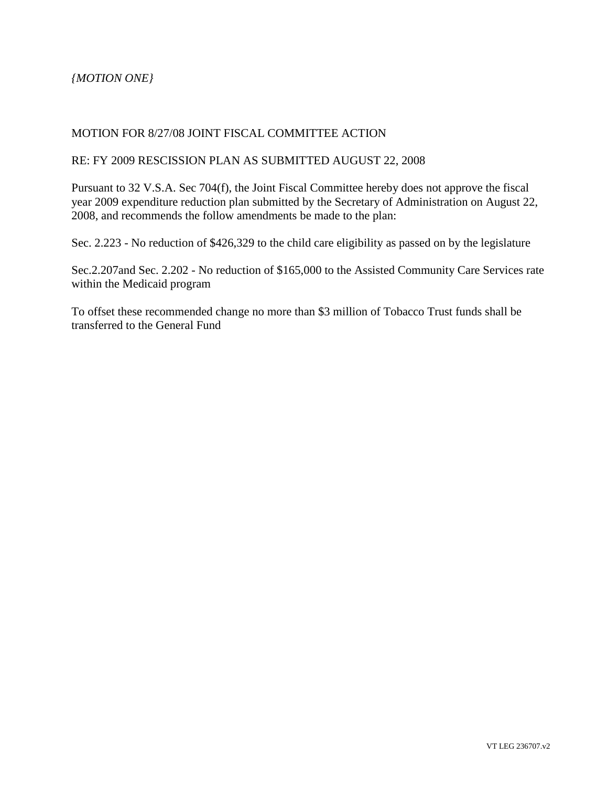*{MOTION ONE}*

## MOTION FOR 8/27/08 JOINT FISCAL COMMITTEE ACTION

#### RE: FY 2009 RESCISSION PLAN AS SUBMITTED AUGUST 22, 2008

Pursuant to 32 V.S.A. Sec 704(f), the Joint Fiscal Committee hereby does not approve the fiscal year 2009 expenditure reduction plan submitted by the Secretary of Administration on August 22, 2008, and recommends the follow amendments be made to the plan:

Sec. 2.223 - No reduction of \$426,329 to the child care eligibility as passed on by the legislature

Sec.2.207and Sec. 2.202 - No reduction of \$165,000 to the Assisted Community Care Services rate within the Medicaid program

To offset these recommended change no more than \$3 million of Tobacco Trust funds shall be transferred to the General Fund